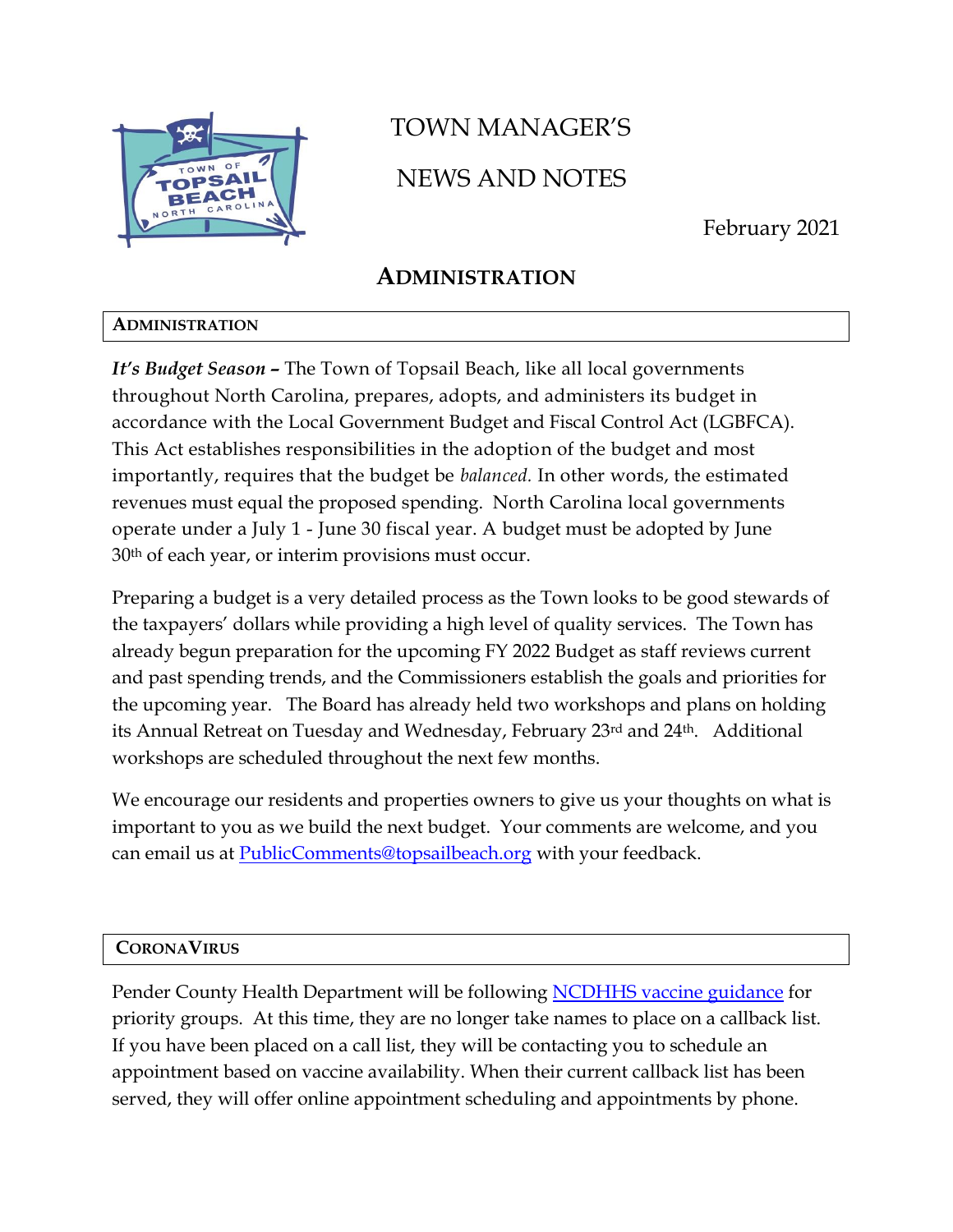

# TOWN MANAGER'S NEWS AND NOTES

February 2021

# **ADMINISTRATION**

## **ADMINISTRATION**

*It's Budget Season –* The Town of Topsail Beach, like all local governments throughout North Carolina, prepares, adopts, and administers its budget in accordance with the Local Government Budget and Fiscal Control Act (LGBFCA). This Act establishes responsibilities in the adoption of the budget and most importantly, requires that the budget be *balanced.* In other words, the estimated revenues must equal the proposed spending. North Carolina local governments operate under a July 1 - June 30 fiscal year. A budget must be adopted by June 30th of each year, or interim provisions must occur.

Preparing a budget is a very detailed process as the Town looks to be good stewards of the taxpayers' dollars while providing a high level of quality services. The Town has already begun preparation for the upcoming FY 2022 Budget as staff reviews current and past spending trends, and the Commissioners establish the goals and priorities for the upcoming year. The Board has already held two workshops and plans on holding its Annual Retreat on Tuesday and Wednesday, February 23rd and 24th. Additional workshops are scheduled throughout the next few months.

We encourage our residents and properties owners to give us your thoughts on what is important to you as we build the next budget. Your comments are welcome, and you can email us at **PublicComments@topsailbeach.org** with your feedback.

## **CORONAVIRUS**

Pender County Health Department will be following [NCDHHS vaccine guidance](https://files.nc.gov/covid/documents/vaccines/NCDHHS-Vaccine-Infographic.pdf) for priority groups. At this time, they are no longer take names to place on a callback list. If you have been placed on a call list, they will be contacting you to schedule an appointment based on vaccine availability. When their current callback list has been served, they will offer online appointment scheduling and appointments by phone.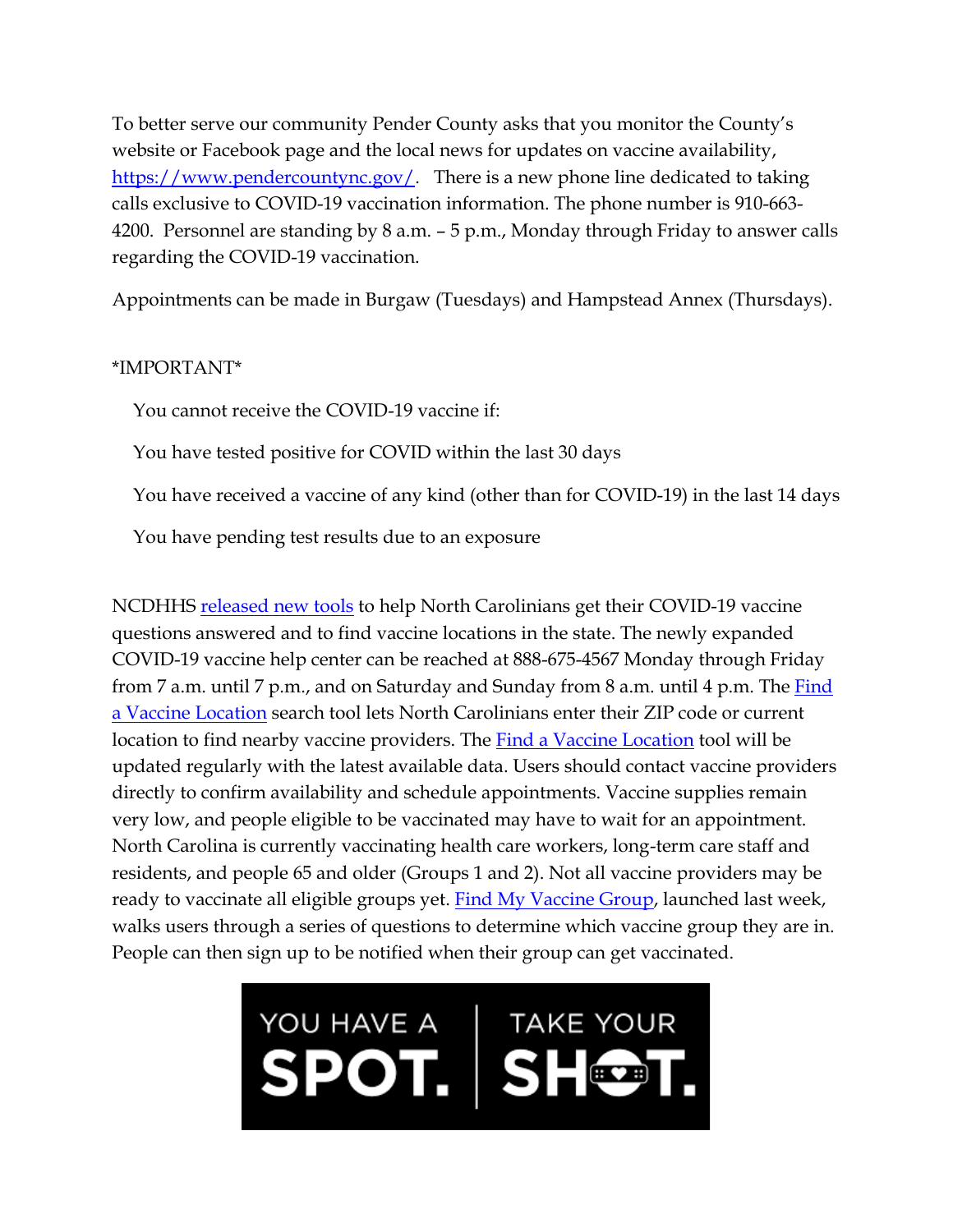To better serve our community Pender County asks that you monitor the County's website or Facebook page and the local news for updates on vaccine availability, [https://www.pendercountync.gov/.](https://www.pendercountync.gov/) There is a new phone line dedicated to taking calls exclusive to COVID-19 vaccination information. The phone number is 910-663- 4200. Personnel are standing by 8 a.m. – 5 p.m., Monday through Friday to answer calls regarding the COVID-19 vaccination.

Appointments can be made in Burgaw (Tuesdays) and Hampstead Annex (Thursdays).

## \*IMPORTANT\*

You cannot receive the COVID-19 vaccine if:

You have tested positive for COVID within the last 30 days

You have received a vaccine of any kind (other than for COVID-19) in the last 14 days

You have pending test results due to an exposure

NCDHHS [released new tools](https://www.ncdhhs.gov/news/press-releases/new-tools-help-north-carolinians-get-vaccine-information) to help North Carolinians get their COVID-19 vaccine questions answered and to find vaccine locations in the state. The newly expanded COVID-19 vaccine help center can be reached at 888-675-4567 Monday through Friday from 7 a.m. until 7 p.m., and on Saturday and Sunday from 8 a.m. until 4 p.m. The  $Find$ [a Vaccine Location](https://myspot.nc.gov/map-view) search tool lets North Carolinians enter their ZIP code or current location to find nearby vaccine providers. The [Find a Vaccine Location](https://myspot.nc.gov/map-view) tool will be updated regularly with the latest available data. Users should contact vaccine providers directly to confirm availability and schedule appointments. Vaccine supplies remain very low, and people eligible to be vaccinated may have to wait for an appointment. North Carolina is currently vaccinating health care workers, long-term care staff and residents, and people 65 and older (Groups 1 and 2). Not all vaccine providers may be ready to vaccinate all eligible groups yet. [Find My Vaccine Group,](https://findmygroup.nc.gov/) launched last week, walks users through a series of questions to determine which vaccine group they are in. People can then sign up to be notified when their group can get vaccinated.

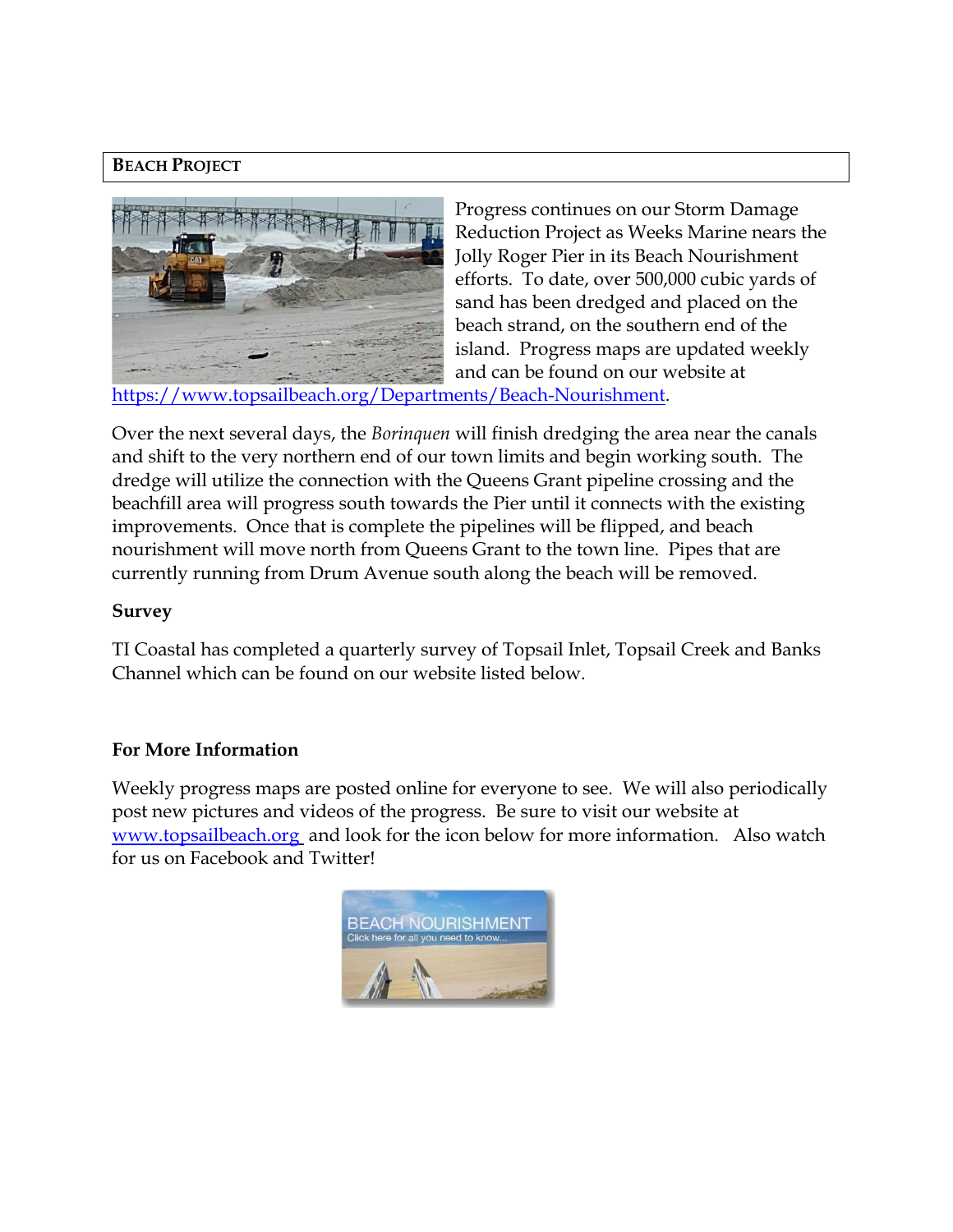## **BEACH PROJECT**



Progress continues on our Storm Damage Reduction Project as Weeks Marine nears the Jolly Roger Pier in its Beach Nourishment efforts. To date, over 500,000 cubic yards of sand has been dredged and placed on the beach strand, on the southern end of the island. Progress maps are updated weekly and can be found on our website at

[https://www.topsailbeach.org/Departments/Beach-Nourishment.](https://www.topsailbeach.org/Departments/Beach-Nourishment)

Over the next several days, the *Borinquen* will finish dredging the area near the canals and shift to the very northern end of our town limits and begin working south. The dredge will utilize the connection with the Queens Grant pipeline crossing and the beachfill area will progress south towards the Pier until it connects with the existing improvements. Once that is complete the pipelines will be flipped, and beach nourishment will move north from Queens Grant to the town line. Pipes that are currently running from Drum Avenue south along the beach will be removed.

#### **Survey**

TI Coastal has completed a quarterly survey of Topsail Inlet, Topsail Creek and Banks Channel which can be found on our website listed below.

#### **For More Information**

Weekly progress maps are posted online for everyone to see. We will also periodically post new pictures and videos of the progress. Be sure to visit our website at [www.topsailbeach.org](http://www.topsailbeach.org/) and look for the icon below for more information. Also watch for us on Facebook and Twitter!

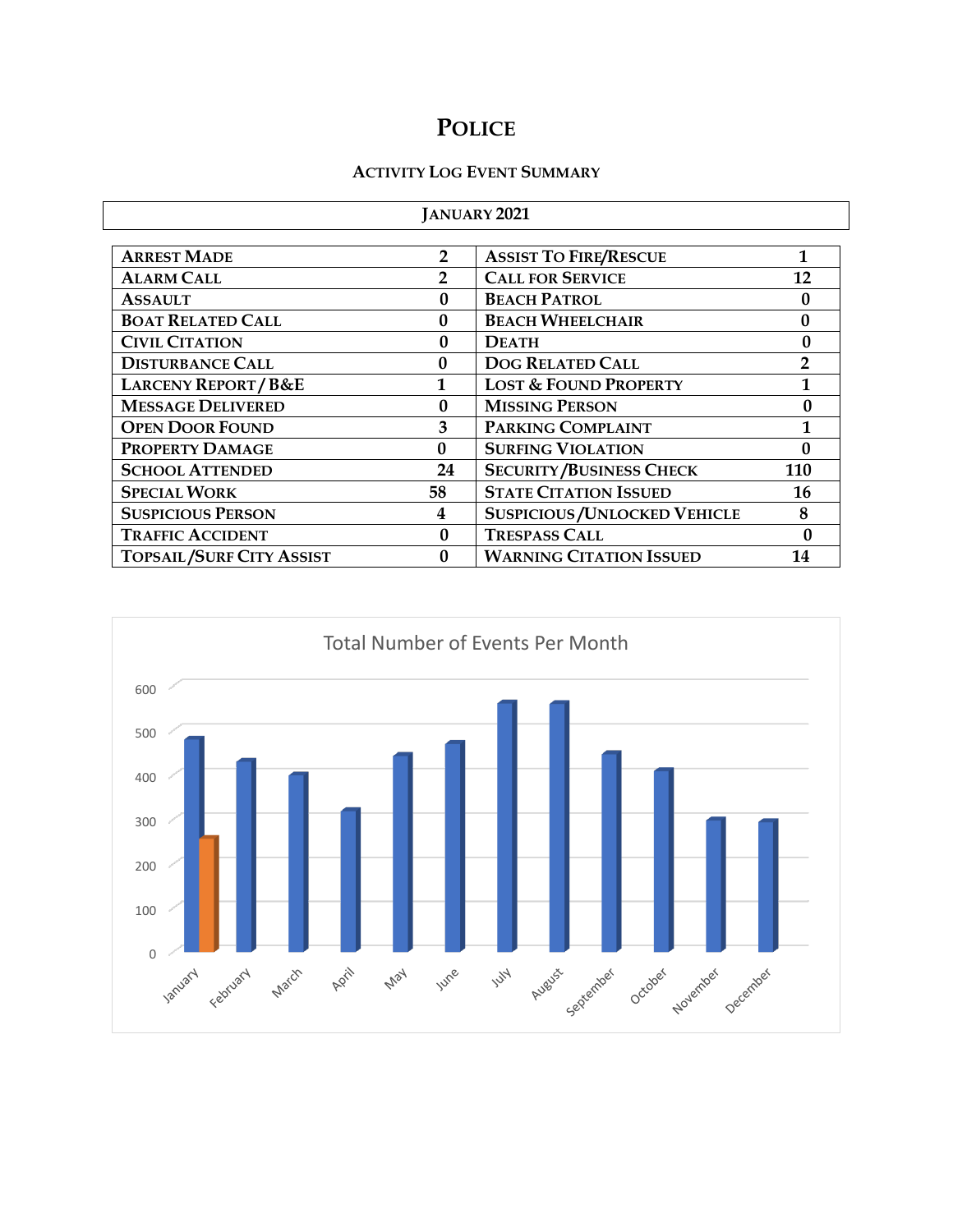# **POLICE**

#### **ACTIVITY LOG EVENT SUMMARY**

| <b>JANUARY 2021</b>             |                |                                      |                |  |  |
|---------------------------------|----------------|--------------------------------------|----------------|--|--|
|                                 |                |                                      |                |  |  |
| <b>ARREST MADE</b>              | $\overline{2}$ | <b>ASSIST TO FIRE/RESCUE</b>         | 1              |  |  |
| <b>ALARM CALL</b>               | 2              | <b>CALL FOR SERVICE</b>              | 12             |  |  |
| <b>ASSAULT</b>                  | 0              | <b>BEACH PATROL</b>                  | 0              |  |  |
| <b>BOAT RELATED CALL</b>        | $\Omega$       | <b>BEACH WHEELCHAIR</b>              | $\mathbf{0}$   |  |  |
| <b>CIVIL CITATION</b>           | 0              | <b>DEATH</b>                         | 0              |  |  |
| <b>DISTURBANCE CALL</b>         | $\Omega$       | <b>DOG RELATED CALL</b>              | $\overline{2}$ |  |  |
| <b>LARCENY REPORT/B&amp;E</b>   |                | <b>LOST &amp; FOUND PROPERTY</b>     |                |  |  |
| <b>MESSAGE DELIVERED</b>        | $\mathbf{0}$   | <b>MISSING PERSON</b><br>0           |                |  |  |
| <b>OPEN DOOR FOUND</b>          | 3              | <b>PARKING COMPLAINT</b><br>1        |                |  |  |
| PROPERTY DAMAGE                 | 0              | <b>SURFING VIOLATION</b>             | 0              |  |  |
| <b>SCHOOL ATTENDED</b>          | 24             | <b>SECURITY/BUSINESS CHECK</b>       | 110            |  |  |
| <b>SPECIAL WORK</b>             | 58             | <b>STATE CITATION ISSUED</b><br>16   |                |  |  |
| <b>SUSPICIOUS PERSON</b>        | 4              | <b>SUSPICIOUS / UNLOCKED VEHICLE</b> | 8              |  |  |
| <b>TRAFFIC ACCIDENT</b>         | 0              | <b>TRESPASS CALL</b>                 | 0              |  |  |
| <b>TOPSAIL/SURF CITY ASSIST</b> | 0              | <b>WARNING CITATION ISSUED</b>       | 14             |  |  |

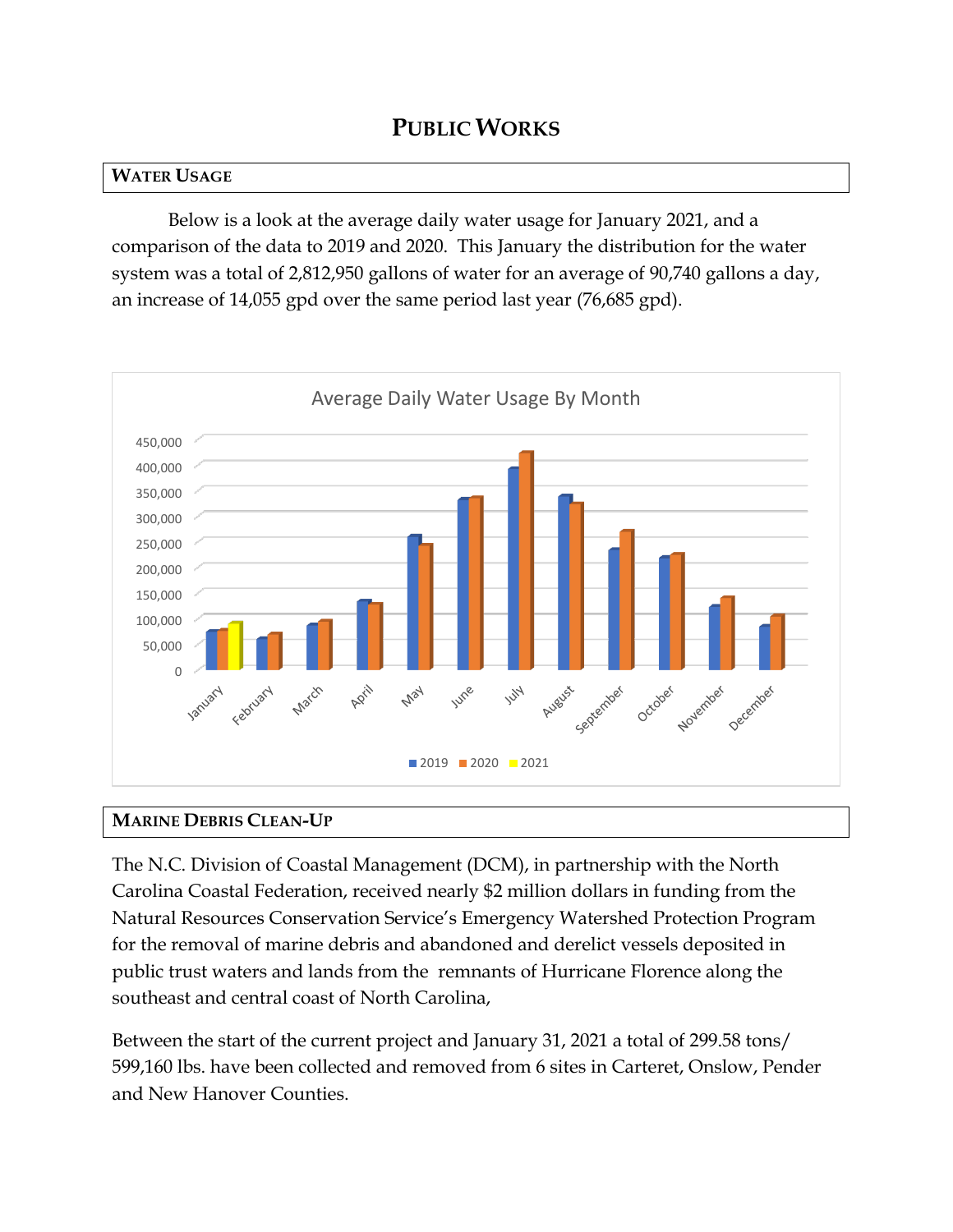# **PUBLIC WORKS**

#### **WATER USAGE**

Below is a look at the average daily water usage for January 2021, and a comparison of the data to 2019 and 2020. This January the distribution for the water system was a total of 2,812,950 gallons of water for an average of 90,740 gallons a day, an increase of 14,055 gpd over the same period last year (76,685 gpd).



## **MARINE DEBRIS CLEAN-UP**

The N.C. Division of Coastal Management (DCM), in partnership with the North Carolina Coastal Federation, received nearly \$2 million dollars in funding from the Natural Resources Conservation Service's Emergency Watershed Protection Program for the removal of marine debris and abandoned and derelict vessels deposited in public trust waters and lands from the remnants of Hurricane Florence along the southeast and central coast of North Carolina,

Between the start of the current project and January 31, 2021 a total of 299.58 tons/ 599,160 lbs. have been collected and removed from 6 sites in Carteret, Onslow, Pender and New Hanover Counties.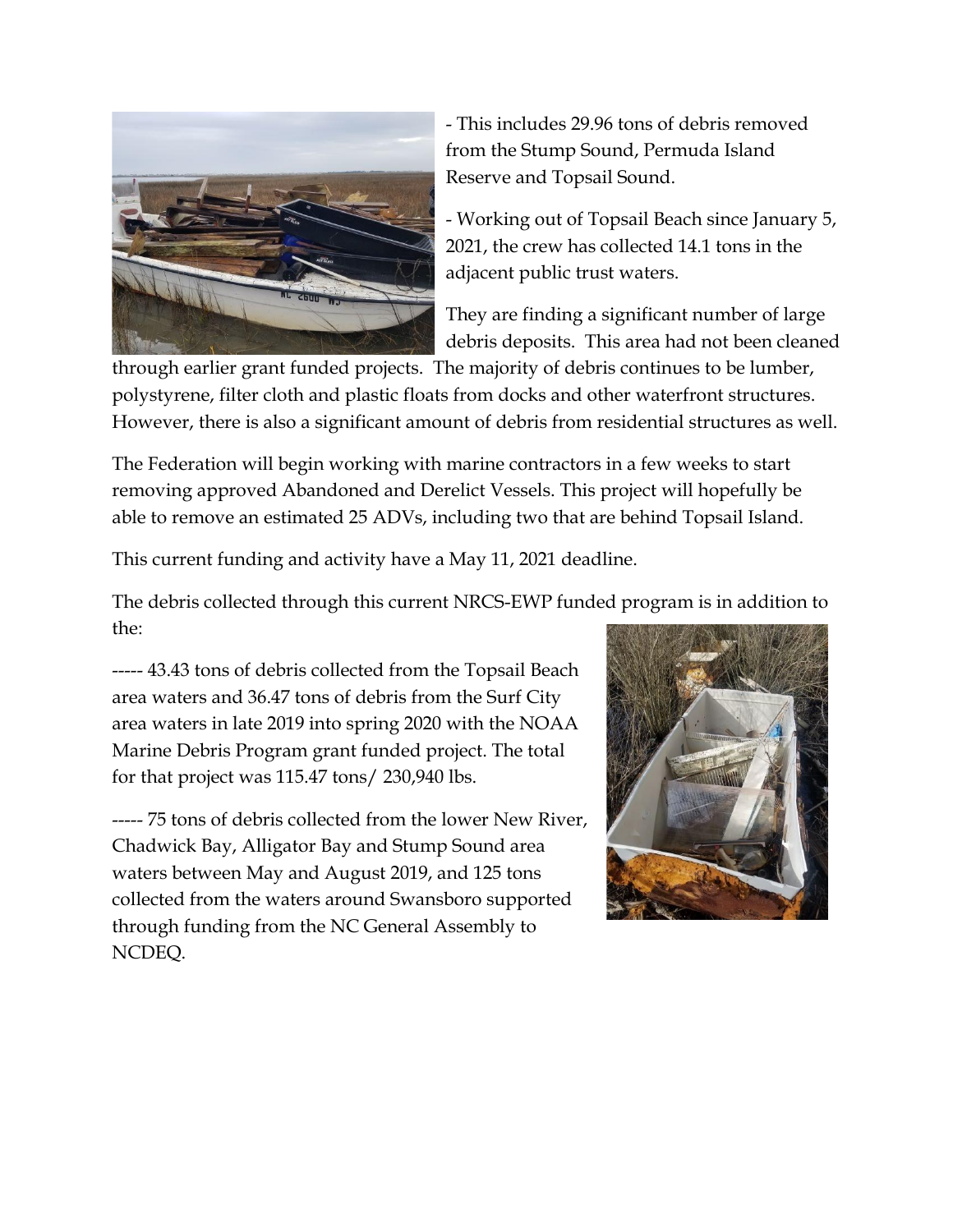

- This includes 29.96 tons of debris removed from the Stump Sound, Permuda Island Reserve and Topsail Sound.

- Working out of Topsail Beach since January 5, 2021, the crew has collected 14.1 tons in the adjacent public trust waters.

They are finding a significant number of large debris deposits. This area had not been cleaned

through earlier grant funded projects. The majority of debris continues to be lumber, polystyrene, filter cloth and plastic floats from docks and other waterfront structures. However, there is also a significant amount of debris from residential structures as well.

The Federation will begin working with marine contractors in a few weeks to start removing approved Abandoned and Derelict Vessels. This project will hopefully be able to remove an estimated 25 ADVs, including two that are behind Topsail Island.

This current funding and activity have a May 11, 2021 deadline.

The debris collected through this current NRCS-EWP funded program is in addition to the:

----- 43.43 tons of debris collected from the Topsail Beach area waters and 36.47 tons of debris from the Surf City area waters in late 2019 into spring 2020 with the NOAA Marine Debris Program grant funded project. The total for that project was 115.47 tons/ 230,940 lbs.

----- 75 tons of debris collected from the lower New River, Chadwick Bay, Alligator Bay and Stump Sound area waters between May and August 2019, and 125 tons collected from the waters around Swansboro supported through funding from the NC General Assembly to NCDEQ.

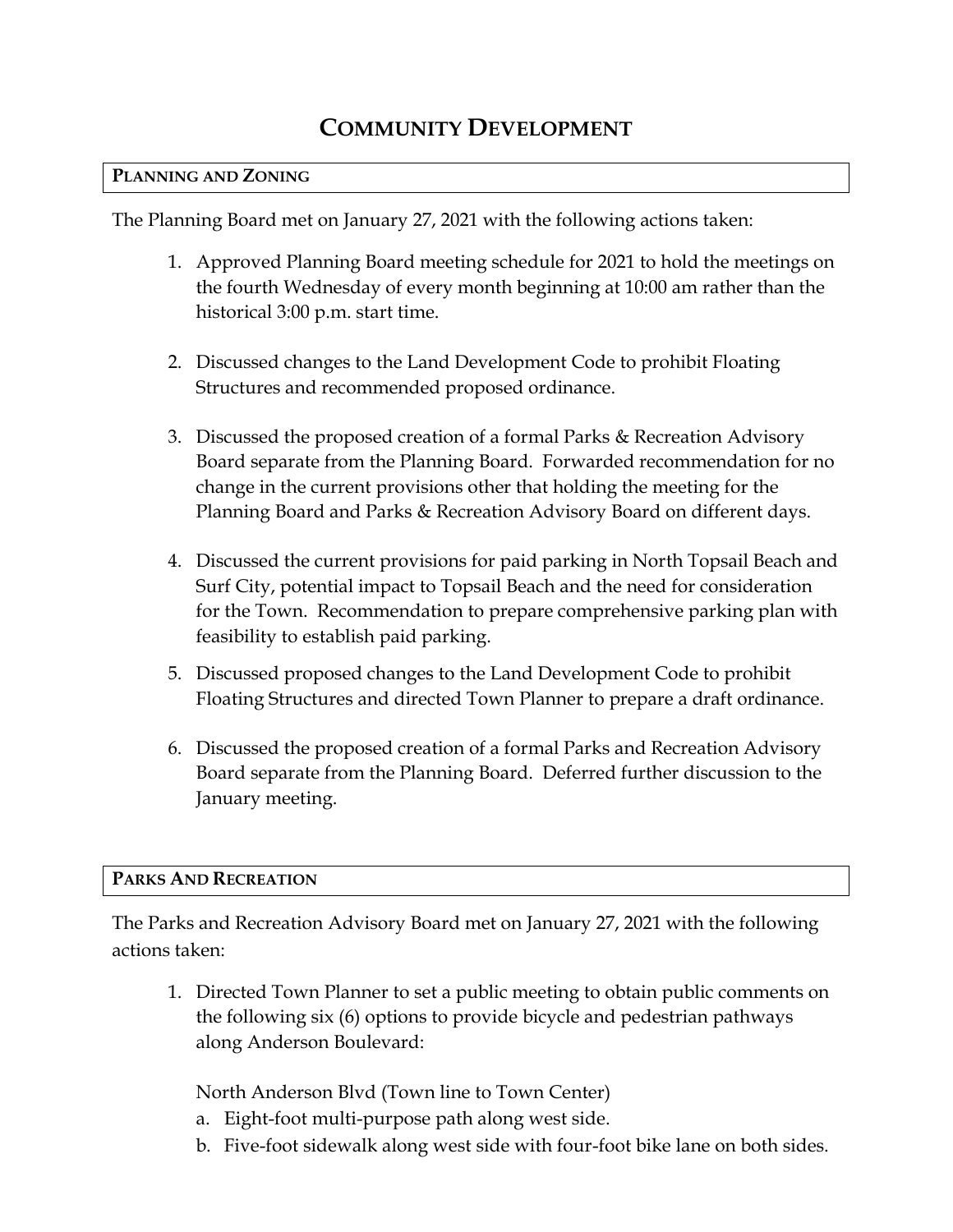# **COMMUNITY DEVELOPMENT**

#### **PLANNING AND ZONING**

The Planning Board met on January 27, 2021 with the following actions taken:

- 1. Approved Planning Board meeting schedule for 2021 to hold the meetings on the fourth Wednesday of every month beginning at 10:00 am rather than the historical 3:00 p.m. start time.
- 2. Discussed changes to the Land Development Code to prohibit Floating Structures and recommended proposed ordinance.
- 3. Discussed the proposed creation of a formal Parks & Recreation Advisory Board separate from the Planning Board. Forwarded recommendation for no change in the current provisions other that holding the meeting for the Planning Board and Parks & Recreation Advisory Board on different days.
- 4. Discussed the current provisions for paid parking in North Topsail Beach and Surf City, potential impact to Topsail Beach and the need for consideration for the Town. Recommendation to prepare comprehensive parking plan with feasibility to establish paid parking.
- 5. Discussed proposed changes to the Land Development Code to prohibit Floating Structures and directed Town Planner to prepare a draft ordinance.
- 6. Discussed the proposed creation of a formal Parks and Recreation Advisory Board separate from the Planning Board. Deferred further discussion to the January meeting.

#### **PARKS AND RECREATION**

The Parks and Recreation Advisory Board met on January 27, 2021 with the following actions taken:

1. Directed Town Planner to set a public meeting to obtain public comments on the following six (6) options to provide bicycle and pedestrian pathways along Anderson Boulevard:

North Anderson Blvd (Town line to Town Center)

- a. Eight-foot multi-purpose path along west side.
- b. Five-foot sidewalk along west side with four-foot bike lane on both sides.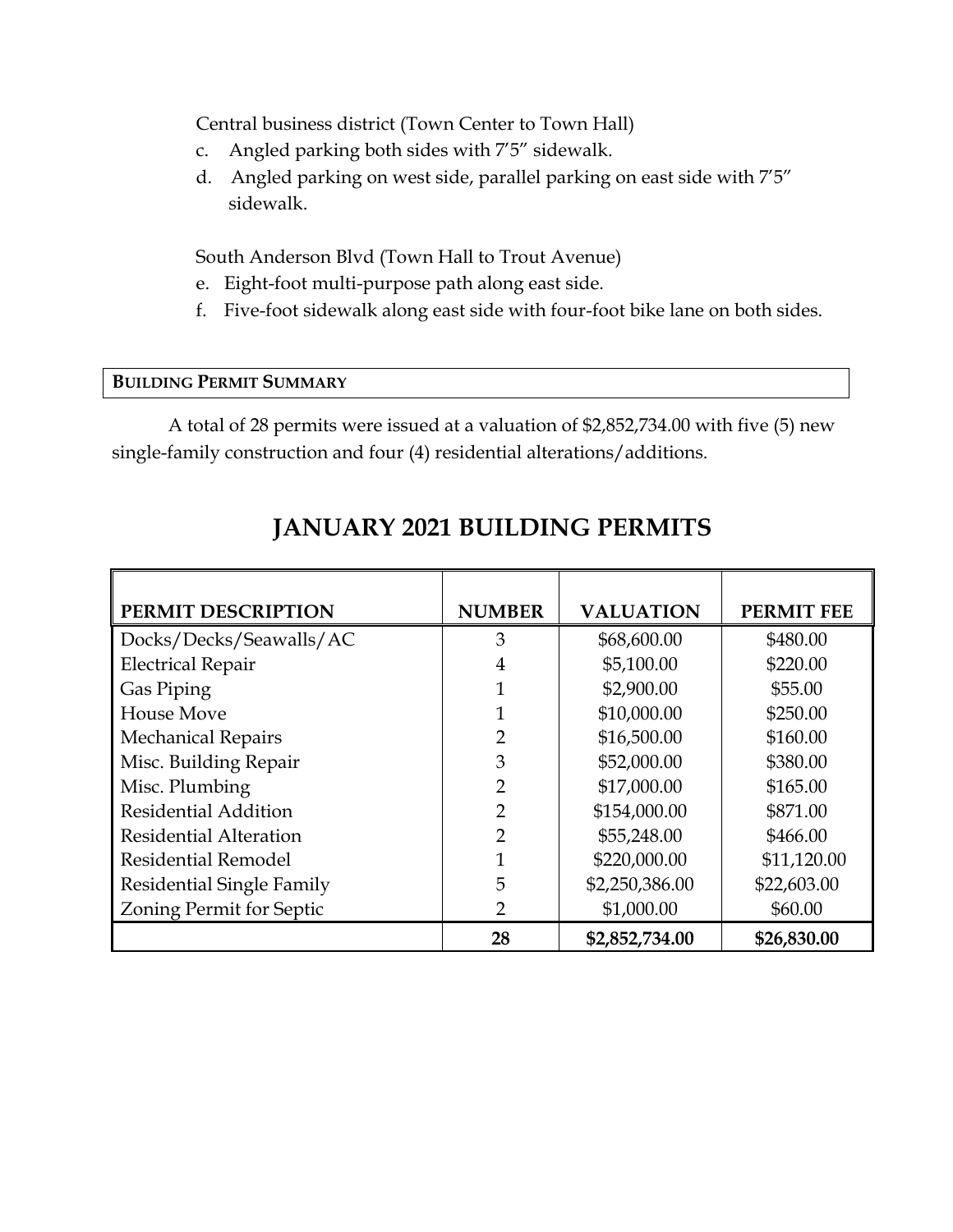Central business district (Town Center to Town Hall)

- c. Angled parking both sides with 7'5" sidewalk.
- d. Angled parking on west side, parallel parking on east side with 7'5" sidewalk.

South Anderson Blvd (Town Hall to Trout Avenue)

- e. Eight-foot multi-purpose path along east side.
- f. Five-foot sidewalk along east side with four-foot bike lane on both sides.

### **BUILDING PERMIT SUMMARY**

A total of 28 permits were issued at a valuation of \$2,852,734.00 with five (5) new single-family construction and four (4) residential alterations/additions.

| PERMIT DESCRIPTION               | <b>NUMBER</b>  | <b>VALUATION</b> | <b>PERMIT FEE</b> |
|----------------------------------|----------------|------------------|-------------------|
| Docks/Decks/Seawalls/AC          | 3              | \$68,600.00      | \$480.00          |
| <b>Electrical Repair</b>         | $\overline{4}$ | \$5,100.00       | \$220.00          |
| Gas Piping                       |                | \$2,900.00       | \$55.00           |
| <b>House Move</b>                |                | \$10,000.00      | \$250.00          |
| <b>Mechanical Repairs</b>        | 2              | \$16,500.00      | \$160.00          |
| Misc. Building Repair            | 3              | \$52,000.00      | \$380.00          |
| Misc. Plumbing                   | $\overline{2}$ | \$17,000.00      | \$165.00          |
| <b>Residential Addition</b>      | $\overline{2}$ | \$154,000.00     | \$871.00          |
| <b>Residential Alteration</b>    | $\overline{2}$ | \$55,248.00      | \$466.00          |
| <b>Residential Remodel</b>       | 1              | \$220,000.00     | \$11,120.00       |
| <b>Residential Single Family</b> | 5              | \$2,250,386.00   | \$22,603.00       |
| Zoning Permit for Septic         | $\overline{2}$ | \$1,000.00       | \$60.00           |
|                                  | 28             | \$2,852,734.00   | \$26,830.00       |

# **JANUARY 2021 BUILDING PERMITS**